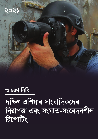# দক্ষিণ এশিয়ার সাংবাদিকদের নিরাপত্তা এবং সংঘাত-সংবেদনশীল **রিপোটিং**

আচরণ বিধি

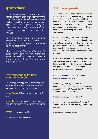

<u>পাবলিক মিডিয়া এলায়েন্স (PMA)-এর পক্ষ থেকে</u> ইউনেক্ষো-র যোগাযোগ উন্নয়ন বিষয়ক আন্তর্জাতিক কর্মসূচি (IPDC) এবং ইউনেক্ষো নিউ দিল্লী কাৰ্যালয়কে ধন্যবাদ জানাই এই প্রকল্পটিকে সহায়তা করার জন্য। কতজ্ঞতা জানাই এই প্রকল্পের সকল অংশীদার ও মিডিয়া অ্যাকশন নেপাল (MAN)-কে, যারা ভার্চুয়াল ওয়ার্কশপ ও মিটিংগুলি সময়োপযোগি করে আয়োজনে গুরুতুপূর্ণ ভূমিকা পালন করেছেন।

বিশেষভাবে ধন্যবাদ ও কতজ্ঞতা পিএমএ'র প্রকল্পসমূহ এবং প্রকল্প ধারণা ও পরিচালনার জন্য মেম্বারশীপ ম্যানেজার জেসমিন চ্যান্ডলার, প্রকল্প সহায়ক মিঃ লক্ষণ দত্ত পন্ত এবং ডঃ সাদিয়া জামিলকে।

এই গুরুতুপূর্ণ এবং আঞ্চলিকভাবে প্রাসঙ্গিক আচরণবিধি তৈরিতে অন্তর্দষ্টি সততা এবং আগ্রহ প্রকাশের জন্য প্রকল্পের অংশগ্রহণকারী ও বাংলাদেশ, ভারত, নেপাল ও শ্রীলংকার গণমাধ্যম সংশ্রিষ্ট সকল স্টেকহোল্ডারদের কাছে পিএমএ বিশেষভাবে কৃতজ্ঞ।

#### পাবলিক মিডিয়া এলায়েন্স-এর পক্ষে প্রকাশিত পাবলিক মিডিয়া এলায়েন্স ২০২১

এই প্রকাশনায় সন্নিবেশিত চিন্তা ও মতামতসমূহ কোন-ভাবেই ইউনেক্ষো, পাবলিক মিডিয়া এলায়েন্স বা মিডিয়া আক্রশন নেপাল নয়, তা সম্পর্ণভাবে লেখকের।

গ্রাফিক ডিজাইন: ক্রিষ্টিয়ান পোর্টার*. পাবলিক মিডিয়া* এলায়েন্স

<u>প্রচ্ছদ ছবি: একজন ফটোজার্নালিস্ট তার ক্যামেরার জুম</u> লেন্স তাক করে আছেন যুদ্ধ ও সংঘাতের ছবি তোলার জন্য।

কৃতজ্ঞতা: chameleonseye/iStock

ভাষান্তর: মার্ক মানস সাহা, বিএনএনআরসি

### **Acknowledgments**

The Public Media Alliance (PMA) would like to thank UNESCO's International Programme for the Development of Communication (IPDC) and the UNESCO New Delhi Office for their generous support to this project. Also, our thanks to our project partners, Media Action Nepal (MAN) who were key to facilitating our virtual workshops and meetings.

Particular thanks go to PMA's Projects and Membership Manager, Jasmine Chandler, for conceptualising and running the project; to the project facilitators. Mr. Laxman Datt Pant and Dr. Sadia Jamil; and to PMA Journalist Desilon Daniels for her assistance, coordination and research.

PMA is also grateful to the project participants and media stakeholders from Bangladesh, India, Nepal and Sri Lanka for their insight, honesty, and passion in developing this important and regionally relevant Code of Conduct.

#### **Published by the Public Media Alliance** © Public Media Alliance 2021

Ideas and opinions expressed in this publication are those of the authors; they are not necessarily those of UNESCO, the Public Media Alliance or Media Action Nepal.

**Graphic Design by Kristian Porter, PMA** 

Cover image: A press photojournalist is holding a camera with a zoom lens and is photographing war and conflict.

Credit: chameleonseye/iStock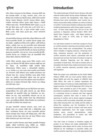দক্ষিণ এশিয়ার গণমাধ্যমের চাল-চিত্র বৈচিত্রময়, গণমাধ্যমের প্রতিটি ক্ষেত্র আজ চ্যালেঞ্জের সম্মখীন। তা সত্তেও, বাংলাদেশ, ভারত, নেপাল এবং শ্রীলঙ্কার মতো দেশগুলির মধ্যে কিছ মিল রয়েছে। প্রতিটি দেশের সাংবাদিক নিরাপত্তা লঙ্ঘনের ইতিহাসের পাশাপাশি সংঘাতের ইতিহাস রয়েছে। সাম্প্রতিক সংবাদপত্রের স্বাধীনতা সূচকের অবস্থান বিচারেও এ বিষয়টি স্পষ্টভাবে নজরে এসছে। "রিপোটার্স উইদাউট বর্ডারস" (RSF) ২০২১-এর বিশ্ব প্রেস ফ্রিডম সূচকে ১৮০টি দেশের প্রথম ১০০টি দেশের মধ্যে এ দেশগুলির কোন অবস্থান নেই। এ সূচকে নেপালের অবস্থান ১০৬তম, শ্রীলঙ্কা ১২৭তম, ভারত রয়েছে ১৪২তম ছানে, যেখানে বাংলাদেশের অবষ্টান ১৫২তম।

এই প্রেক্ষাপটগুলিকে বিবেচনায় রেখেই দক্ষিণ এশিয়ার মিডিয়ার জন্য একটি সংঘাত-সংবেদনশীল রিপোর্টিং এবং সাংবাদিক নিরাপত্তা প্রকল্পের ধারণা করা হয়েছিল। প্রকল্পটির মধ্যে মিডিয়া ম্যাপিং অনুশীলণ, একটি তিনদিনের কৰ্মশালা, মেন্টররিং সেশন এবং দ্বন্দ সংবেদনশীল সংবাদ প্রতিবেদনগুলি অন্তৰ্ভুক্ত ছিল। তৈরি এই আচরণবিধিটিই তার প্রমান। সাথে সাথে শেষ হলো দক্ষিণ এশিয়ায় সংঘাত সংবেদনশীল রিপোর্টিং এবং নিরাপত্তা সাংবাদিকদের সুরক্ষার জন্য আচরণবিধি। আশা করা যায়, সংঘাত সংবেদনশীল রিপোর্টিং, সাংবাদিক নিরাপত্তা এবং শ্ব-নিয়ন্ত্রণের ক্ষেত্রে এই আচরণবিধিটি দক্ষিণ এশিয়ার মিডিয়া পরিবেশকে শক্তিশালী করবে।

পাবলিক মিডিয়া অ্যালায়েন্স (PMA) মাধ্যমে মিডিয়া অ্যাকশন নেপাল (MAN) এবং ইউনেক্ষো নিউ দিল্লী অফিসের সহায়তায় প্রকল্পটি গ্রহণ করা হয়। উল্লেখ্য, এই আচরণবিধিতে সংশ্রিষ্ট দেশগুলির মিডিয়া স্টেকহোল্ডারদের সম্মিলিত মতামত ও অধিপরামর্শগুলি প্রতিফলিত। ২৮-৩০ সেপ্টেম্বর ২০২১ থেকে ৩১জন ফেলো-সাংবাদিক থেকে শিক্ষাবিদ এবং সম্পাদকগণ একটি কর্মশালায় তাদের আঞ্চলিক প্রতিপক্ষদের সাথে নেটওয়ার্ক করার জন্য, সংঘাতের রিপোর্টিংয়ে তাদের ভমিকা নির্ধারণ করতে এবং আঞ্চলিক কৌশলগুলিকে সন্নিবেশ করার জন্য জম-সভা করেন। সভার উদ্দেশ্য ছিল সংঘাত নিয়ে প্রতিবেদন করার সময় প্রতিবেদন-কারীগণ যেন তা নিজেদের নিরাপত্তাসহ নির্ভূল, নিরপেক্ষ এবং দায়িতেুর সাথে তৈবি কবতে পাবেন।

এই কর্মশালাটি আচরণবিধি উন্নয়নের জন্য মূল ভিত্তি হিসেবে কাজ করেছে। অংশগ্রহণকারীদের নিজ দেশের স্থানীয় প্রেক্ষাপট এবং বাস্তব জীবনের অভিজ্ঞতাগুলি এই আচবণবিধি তৈবিব জন্য দিকনিৰ্দেশনা দান কৰে। কৰ্মশালা শেষ হলে, খসডা আচরণবিধিটির পর্যালোচনা করা হয় এবং মতামত নেয়ার জন্য সংশ্লিষ্ট দেশগুলির বিশেষ কিছু স্টেকহোল্ডারদের (যেমন- প্রেস কাউন্সিলের প্রতিনিধি, মিডিয়া শিক্ষাবিদ এবং সাংবাদিকদের) সাথে একটি মত-বিনিময় সভার আয়োজন করে।

এই চড়ান্ত "আচরণবিধি" কেবলমাত্র বাংলাদেশ, ভারত, নেপাল এবং শ্রীলঙ্কার ফেলো এবং গণমাধ্যম সংশ্লিষ্ট ব্যক্তি ও প্রতিষ্ঠানগুলির একান্ত নিজন্ব। সাংবাদিকদের নিরাপত্তা এবং সংঘাত সংবেদনশীল প্রতিবেদন প্রকাশের চ্যালেঞ্জের কারনে সবচেয়ে বেশী ক্ষতিগ্রস্ত হওয়ায়, দক্ষিণ এশীয় গণমাধ্যমের তৎপরতা উন্নত করার লক্ষ্যে এই আচরণ বিধিমালা তাদের কণ্ঠম্বর যথাযথভাবে তলে ধরতে সাহায্য করবে।

এই গবেষণা সাংবাদিক নিরাপত্তায় জেন্ডার বিষয়ক প্রয়োজনীয় দিকসমূহের অন্তর্ভুক্তি, শান্তিপূর্ণ সাংবাদিকতার গুরুত্ব, শারীরিক এবং ভিজিটাল নিরাপত্তার জন্য বাস্তবসম্মত পরামর্শ প্রভৃতি বিষয়ে নিবদ্ধ ছিল।

## **Introduction**

The media landscape of South Asia is diverse, with each national media system facing unique challenges. Nonetheless, countries like Bangladesh, India, Nepal, and SriLanka have some similarities: each country has a history of journalist safety violations as well as a history of conflict. Current press freedom rankings also indicate troubling developments within these target countries none of them ranks higher than 100 out of the 180 countries in Reporters without Borders' (RSF) 2021 World Press Freedom Index, with Nepal ranking at 106th, Sri Lanka at 127th, India at 142nd, and Bangladesh at 152nd.

It is with these contexts in mind that a project to focus on conflict-sensitive reporting and journalist safety for South Asian media was conceptualised. The project. which included a mapping exercise, a three-day workshop, mentoring sessions, and the production of conflict sensitive news reports, culminated with the document set out here: the Code of Conduct to Improve Conflict Sensitive Reporting and the Safety of Journalists in South Asia. This code of conduct aims to strengthen the South Asian media environment in terms of conflict sensitive reporting, journalist safety, and self-regulation.

While the project was undertaken by the Public Media Alliance (PMA) with our local partner Media Action Nepal (MAN) and with the support of UNESCO New Delhi Office, this code of conduct represents the collective inputs of numerous media stakeholders in the target countries. From 28-30 September 2021, thirty-one fellows were awarded as part of the project  $-$  from journalists to academics and editors - they met virtually in a workshop format to network with their regional counterparts, examine their roles in terms of the reporting of conflict, and to devise regional strategies for covering conflict accurately, impartially, and responsibly while ensuring their own safety and the safety of others. This workshop was the foundation for the development of the code of conduct, with each partici additional stakeholders from the target countries council representatives, *(suchas* press media academics, and journalists) to review and offer feedback on the draft Code of Conduct

This final Code of Conduct is therefore largely the product of our fellows and media stakeholders from Bangladesh, India, Nepal, and Sri Lanka. As those most affected by the challenges to journalist safety and conflict sensitive reporting, it was only appropriate that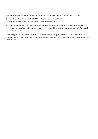their voices were represented in this document which aims at benefitting the South Asian media landscape.

- Reporters without Borders. 2021. 2021 World Press Freedom Index. [ONLINE] Available at: https://rsf.org/en/ranking. [Accessed 3 November 2021].
- Public Media Alliance. 2021. Meet the fellows. [ONLINE] Available at: https://www.publicmediaalliance.org/ meet-the-fellows-of-our-conflict-sensitive-reporting-and-safety-of-journalists-in-south-asia-workshop/. [Accessed 3 November 2021].

Our mapping research had also reiterated the need for a more nuanced approach to topics such as the inclusion of a gender perspective in journalist safety; a focus on peace journalism; and the need for practical tips for physical and digital journalist safety.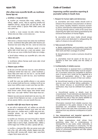#### আচৱণ বিধি

#### দক্ষিণ এশিয়ায় সংঘাত-সংবেদনশীল রিপোর্টিং এবং সাংবাদিকদের নিরাপত্তা উন্নত করা

#### ১. মানবাধিকার ও গণতন্ত্রের প্রতি সম্মানা

ক. সাংবাদিক এবং গণমাধ্যমের উচিত গণতন্ত্র, ন্যায়বিচার, সাম্য, স্বাধীনতা, অন্তর্ভুক্তি, মানবতা, শান্তি এবং বন্ধভাবাপন্ন দেশগুলির মধ্যে আন্তর্জাতিক বোঝাপড়া, ভ্রাতৃত্বের সুরক্ষা এবং প্রচার বৃদ্ধি করা, একই সাথে মানবতার অধিকার ও মূল্যবোধ শীর্ষক বৈশিক ঘোষণার প্রতি সম্মান প্রদর্শন করা।

খ. সাংবাদিক ও সংবাদ মাধ্যমকে সদা-সর্বদা নাগরিক নিরাপত্তার অধিকার রক্ষার জন্য সক্রিয় ও তৎপর থাকতে হবে।

#### ২. আইনের প্রতি শ্রদ্ধাশীল

নিজম্ব যোগ্যতা ও ক্ষমতাকে সততার সাথে ব্যবহার করা সাংবাদিকতার মল কাজ। সাংবাদিকদের উচিত ষ্থানীয় প্রচলিত আইন বিবেচনায় রেখে সঁচেতনতার সাথে তাদের দায়িত্ব পালন করা। তাদের মনে রাখতে হবে:

ক, মিডিয়া স্টেকহোল্ডার এবং সাংবাদিকদের অবশ্যই ঐ দেশের প্রচলিত আইন সম্পর্কে সম্যক জ্ঞান ও ধারণা থাকা প্রয়োজন। কারন এটি তার কাজ এবং সংঘাত সম্পর্কিত রিপোর্ট তৈরির সঙ্গে সম্পর্কযুক্ত।

খ, রিপোর্ট তৈরিতে স্পর্শকাতর এবং সংবেদনশীল ছবি ও ঘটনা বর্ণনা পরিহার করতে হবে।

গ, সাংবাদিকদের ব্যক্তিগত নিরাপত্তার জন্যই দেশের আইন সম্পর্কে সচেতন থাকতে হবে।

#### ৩. নির্ভরযোগ্য সূত্রের গোপনীয়তা

ক. যদি কোন গোপন উৎস থেকে তথ্য পাওয়া যায়, তাহলে সেই উৎসের গোপনীয়তাকে অবশাই সম্মান করতে হবে। একজন সাংবাদিককে এ উৎসের পরিচয় প্রকাশ করতে বাধ্য করা যাবে না। তবে উক্ত উৎসটি সম্মতি দিলেই কেবলমাত্র তা প্রকাশ করা যাবে, তাতে সাংবাদিকতার লৈতিকতা লংঘন হবে না।

খ, বেনামী উৎস থেকে প্ৰাপ্ত অসমৰ্থিত প্ৰতিবেদন বা তথ্য প্ৰকাশের আগে তা ভালভাবে যাচাই করে নিতে হবে। যাচাইয়ের পর যদি মনে হয় তথ্যের সত্যতা অনিশ্চিত তাহলে তা প্রকাশ থেকে বিরত থাকা উচিৎ।

গ. প্রত্যেকটি অনিশ্চিত উদ্ধৃতি ও বিবরণ যাচাই করা আবশ্যিক। এ ধরনের উপাদান একজন সম্পাদক শুধুমাত্র কেবল জনম্বার্থে ব্যবহার করতে পারেন। তবে সেগলি "অনিশ্চিত" হিসেবে উল্লেখ করতে হবে।

নিৰ্ভরযোগ্য সূত্ৰ থেকে প্ৰাপ্ত তথ্য জনশ্বাৰ্থে প্ৰকাশ করা যেতে পাওে, যদি তা একজন সম্পাদক বিশ্বাসযোগ্য মনে করেন। সে ক্ষেত্রে সাংবাদিককে এই তথ্য প্রকাশের পরিণতি ও দায় থেকে অব্যাহতি দিতে হবে।

#### ৪. সাম্প্ৰদায়িক সম্প্ৰীতি ঝুঁকি কমাতে নিৱপেক্ষ পন্থা অবলম্বন

ক. কোন ব্যক্তি বা সম্প্রদায়ের জাতি, ধর্ম, জাতীয়তা এবং ধর্মের প্রতি অবমাননাকর বা অসম্মানজনক সবধরনের সংবাদ প্রকাশ করা থেকে বিরত থাকতে হবে। সামাজিক কল্যাণ ও সম্প্রীতি বজায় রাখার জন্য. সাম্প্রদায়িক কসংস্কার, ঘৃণা এবং বিদ্বেষের অনুভূতি প্রকাশকে নিরুৎসাহিত করতে হবে।

খ. সাংবাদিক এবং গণমাধ্যমের এমন সংবাদ উপাত্ত তৈরি বা পরিবেশন করা উচিৎ হবে না যা কারো জাতিগত, লিঙ্গ, ধর্মীয়, উপজাতীয় বা আঞ্চলিক পরিচয় বা ভাষাগত পটভূমি, রাজনৈতিক বিশ্বাস, শারীরিক ও মানসিক শ্বন্থ্যের সাথে সম্পর্কিত এবং বৈষম্য ও কুষংস্কার সৃষ্টি করে।

গ, সাংবাদিক ও গণমাধ্যমের উচিৎ সঠিক তথ্য প্রচারের মাধ্যমে দর্বল ব্যক্তি ও শিশু, নারী, প্রবীণ নাগরিক, প্রতিবন্ধি, ভিন্নভাবে সক্ষম ব্যক্তি, কোন বিশেষ গোষ্ঠী, সংখ্যালঘু গোষ্ঠী, সম্প্রদায়, অঞ্চল, ভাষার বিকাশ ও উন্নয়নে বিশেষ সহায়তা প্রদান করা।

#### **Code of Conduct**

#### Improving conflict sensitive reporting & journalist safety in South Asia

#### 1. Respect for human rights and democracy

a. Journalists and mass media should work to enhance the protection and promotion of democracy, justice, equality, freedom, inclusion, humanity, peace, international understanding and fraternity among friendly nations, while at the same time respecting the rights and values guaranteed by the Universal Declaration of Human Rights.

**b.** Journalists and news media should always remain active and dedicated to safeguarding the rights of citizens to be well-informed.

#### 2. Take account of the law

a. Media stakeholders and journalists must fully understand the laws of a country as it pertains to their work and their coverage of conflict.

**b.** Sensationalism in words or pictures should be hebiova

c. Journalists must be aware of the law as it pertains to their own safety and the safety of others.

#### 3. Confidentiality of reliable sources

a. If information is received from a confidential source, then that confidentiality must be respected. A journalist cannot be compelled to disclose such a source; but it shall not be regarded as a breach of journalistic ethics if the source subsequently gives consent of their own volition.

**b.** Unconfirmed reports or tips from anonymous sources must be verified before publication. If they remain tenuous or unconfirmed after the verification, they must be withheld from publication.

c. Unconfirmed quotes or details must be crosschecked. If such elements are deemed to be in the public interest by an editor, then they can be published but only if they are clearly labelled as being "unconfirmed" and not attributed.

Information received from reliable sources may be published in the public interest if the facts presented are considered trustworthy by an editor. If this is the case, then a journalist is to be absolved from any adverse consequence of publication.

#### 4. Use intersectional and impartial approach to lessen the risk to communal harmony

**a.** News organisations shall refrain from<br>publishing news that is contemptuous or disrespectful to any caste, creed, nationality, or religion, of any individual or community. For the purpose of upholding societal wellbeing, the publication of communal prejudices and hate speech must be discouraged.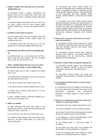#### ৫. সামাজিক ও সাংস্কৃতিক পক্ষপাত থেকে বিরত থাকা এবং সবার সমান প্রতিনিধিত নিশ্চিত করা।

ক. সাংবাদিকদের সামজিক ও সাংস্কৃতিক সংবেদনশীলতার প্রতি শ্রদ্ধাশীল থাকতে হবে এবং সংঘর্ষের বিষয়ে রিপোর্ট করার সময় তাদেরকে ব্যক্তিগত মতামত ও পক্ষপাতিত্ব সম্পূর্ণভাবে এড়িয়ে চলতে হবে।

খ. সাংবাদিকদের উচিত তাদের ব্যক্তিগত মতামত এবং পক্ষপাত যেন সব সম্প্রদায়, সামাজিক গোষ্ঠী এবং অন্যান্য পরিচয়ের মানুষকে সমানভাবে প্রতিনিধিত করে, কোনভাবে কোন বৈষম্যকে প্রভাবিত না কৰে।

#### ৬. মানবাধিকার এবং লিঙ্গ সমতার মান বজায় রাখা

ক, সংঘাতের বিষয়ে রিপোর্ট করার সময় সাংবাদিকদের উচিত ধর্মীয় পরিচয়ের মৌলিক অধিকারের পাশাপাশি সাংস্কৃতিক অনুভূতি এবং গোপনীয়তাকে সম্মান কবা।

খ. সাংবাদিকদের রিপোর্ট তৈরির সময় লিঙ্গ এবং যে কোন লিঙ্গ পরিচয়ের সমান এবং সম্মানজনক প্রতিনিধিত নিশ্চিত করতে হবে।

#### ৭. সকল লিঙ্গের প্রতি সম্মান নিশ্চিত করতে লিঙ্গ সংক্রান্ত বিভ্রান্তি এড়িয়ে চলা

ক, সাংবাদিকদের উচিৎ তথ্য ও সংবাদ প্রকাশের সময় সকল লিঙ্গ বা যৌনতা সংক্রান্ত বিষয়ে কারও আতাসম্মান, খ্যাতি এবং পেশাদারীতে ক্ষতি হতে পারে এমন কোন তথ্য প্রচার না করা।

#### ৮. ধৰ্মীয় বা সাম্পদায়িক সহিংসতা উষ্কে দিতে পাৱে এমন তথ্য-উপাত্ত প্রকাশ থেকে বিরত থাকা সাংবাদিক ও গণমাধ্যম প্রতিষ্টানের উচিৎ ঃ

ক, সহিংসতা উসকে দেয় এমন ব্যক্তি বা ব্যক্তিবৰ্গকে মত প্ৰকাশের সুযোগ না দেয়া।

খ. কোন ধর্মীয় গোষ্ঠী এবং ব্যক্তিবর্গের জন্য অপরাধের কারন হতে পারে এমন গল্লের প্রতিবেদন প্রকাশ না করা।

গ, নবী, দ্রষ্টা বা দেবতাদের নামের বাণিজ্যিক ব্যবহার না করা।

ঘ. কোন ঘটনাকে মিথ্যাভাবে সাম্প্রদায়িক দৃষ্টিভঙ্গিতে প্রকাশ না করা।

ঙ. সামাজিক সমস্যা বা সহিংসতার প্রশংসা প্রকাশ পায় এমন কোন গল্পের প্রতিবেদন না করা।

চ. ধর্মীয় ও সাম্প্রদায়িক উত্তেজনা বা সহিংসতাকে উত্তেজিত করে বা উসকে দেয় এমন ভাষা ব্যবহার না করা।

#### ৯. নিৰ্ভুলতা এবং যাচাইকরণ

ক. একজন প্রতিবেদকের উচিৎ তাদের সামর্থ অনুযায়ী যে কোন রিপোর্টের সত্যতা যাচাই করা। প্রতিটি রিপোর্টের সত্যতা প্রমানের জন্য পৰ্যাপ্ত উপাদান সংগ্ৰহ ও সংরক্ষণ করা।

খ. কোন ধরণের গুজব, গুজব সৃষ্টি হয় এমন রিপোর্ট প্রকাশ না করা।

গ. সাংবাদিকদের অবশ্যই নির্ভরযোগ্য সত্রের মাধ্যমে প্রাপ্ততথ্য ব্যবহার করতে হবে। কোন বিষয়ে অস্পষ্টতা থাকলে, তা-ও জানাতে হবে, যেখানে এটি সম্ভব হয়নি।

**b.** Journalists and mass media should not produce or distribute news material that discriminates or prejudices anyone on grounds of their racial, gender, religious, tribal, or regional identity, or that associated with their linguistic background, political beliefs or physical and mental health

c. Journalists and mass media should render special assistance, through the dissemination of accurate information, to vulnerable persons and towards the uplift and development of children, women, elderly citizens, those who are incapacitated, differently able persons, "excluded groups", community, religious, linguistic, and minority aroups.

#### 5. Refrain from social and cultural bias and ensure equal representation

a. Journalists should ensure respect for social and cultural sensitivities and must avoid expressing their personal opinions and biases when reporting on conflict.

**b.** Journalists should ensure their personal opinions and biases do not affect equality of representation for all communities, societal groups, and other identities.

#### 6. Maintain a human rights and gender equality lens

a. Journalists should respect the fundamental rights of religious identity as well as cultural sentiments and privacy when reporting on conflict.

**b.** Journalists should ensure the equal and respectful representations of gender and gender identity.

#### 7. Avoid gendered disinformation to ensure respect for all genders

a. Journalists should not engage in the dissemination of any information that may cause harm to the self-esteem. reputation. and professional credibility of anyone based on their gender or sexuality.

#### 8. Refrain from publishing content that could incite religious or communal violence

Journalists and news media organisations must:

a. not give a platform to those inciting violence.

**b.** not report stories that may unnecessarily cause offence to religious groups and identities.

c. not engage in commercial exploitation of the name of prophets, seers, or deities.

**d.** not falsely apply a communal angle to incidents.

e. not report any story that may facilitate the alorification of social problems or violence.

f. not use language that could inflame or ignite religious or communal tension or violence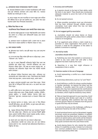#### ১০. যোগাযোগের মাধ্যমে অপরাধবোধের পরামর্শ না দেওয়া

ক, অন্যায়ের নির্ভরযোগ্য প্রমাণ না থাকলে সাংবাদিকদের দোষী পক্ষের সাথে যুক্ত ব্যক্তিদের কোনভাবে দোষ দেওয়া উচিৎ নয়। মতামতে বিচারিক ভার কখনই গহণ না করা।

খ. কোনও সংক্ষব্ধ পক্ষ কোন সাংবাদিক বা সংবাদ সংস্থার কোন দাবীকে যদি অশ্বীকার করে বা ভুল বলে প্রমানিত হয়, তবে এজন্য ক্ষমা চেয়ে সংশোধন প্রকাশ করা সম্পাদকের বাধ্যবাধকতা ।

#### ১১. মিডিয়া দিয়ে বিচার না করা

#### সাংবাদিকদের নিচের বিষয়গুলো থেকে অবশ্যই বিরত থাকতে হবেঃ

ক. আদালত কৰ্তক চডান্ত রায় না হওয়া পৰ্যন্ত বিচারাধীন কোন মামলার রায় ঘোষণা বা এ বিষয়ে কোন ভবিষ্যতবাণী হয়েছে এমন সংবাদ প্রকাশ না করা।

খ. এমনভাবে সংবাদ বা প্রতিবেদন তৈরি ও প্রকাশ করা যা কোনো বিচার কাজ বা রায়কে প্রভাবিত বা পরিচালনা করতে না পারে।

#### ১২. ভাষা ব্যবহারে সতর্কতা

ক. দুইপক্ষের মধ্যে সংঘর্ষ ও দ্বন্দ্ব সৃষ্টি করতে পাওে এমন ভাষা/শব্দ এডিয়ে চলন।

খ. যে সব শব্দ/বাক্য তীক্ষ্ণ পার্থক্য সৃষ্টি করে তা এড়িয়ে চলুন। যেমন-"আমাদের" এবং "তাদের"।

গ. নেতা বা প্রভাব বিস্তারকারী ব্যক্তিবর্গের উদ্ধতি দিয়ে কোন দ্বন্দ্ব সংজ্ঞায়িত করা এড়িয়ে চলুন। পাশাপাশি আভিজাত্য এবং কোন শিরোনাম পরিহার করুন। যদি সম্ভব হয় সাধারণ মানুষের কথা বা সম্প্রদায়ের কথা প্রতিবেদনে উল্লেখ করুন যারা সরাসরি সংঘর্ষের প্রভাব দেখেছেন।

ঘ. প্রতিবেদন তৈরিতে নিরপেক্ষতা রজায় রাখুন। প্রতিবেদন যেন কোনভাবেই কোন পক্ষের সমর্থন না করে। নিরপেক্ষতার জন্য বিরোধী পক্ষের কাছে প্রশ্ন করুন, তাদের মতামত জানুন, প্রকাশ করুন।

ঙ, শুধমাত্র একপক্ষের মখোমখি হওয়া থেকে বিরত থাকন। বিশেষ কারো কষ্ট বা নিপীডনের দিকে নজর দেয়া ও তা প্রকাশ করা থেকে বিরত থাকন।

চ. একটি গোষ্ঠীর সঙ্গে যা করা হয়েছে তা বর্ণনা করতে সংবেদনশীল শব্দগুলো এড়িয়ে চলুন (যেমন- বিধ্বস্ত, ট্রাজেডি, আতঙ্কিত, শক্তিহীন, অসহায় প্রভৃতি)। এ শব্দগুলি সচরাচর পক্ষপাত তৈরি কওে নিরপেক্ষতা ক্ষুন্ন করে। মতামতের অংশে এ শব্দগুলো পরিহার করা টচিৎ।

ছ. সংঘাতের সত্রপাত যে করেছে, তাকে দোষ না দিয়ে কীভাবে সমস্যাটি সৃষ্টি হয়েছে, কেন এই পরিণতি, তা তুলে ধরতে চেষ্টা করুন, এবং যা উভয় পক্ষই আশা করেনি।

<mark>জ.</mark> শুধুমাত্র সহিসতার বিষয়ে রিপোর্ট করা এবং সংঘাতের "ভয়াবহ" বর্ণনা করা এডিয়ে চলন। সহিংসতা এবং সংগাতের বিষয়টি বস্তুনিষ্ঠ করতে এরফলে দৈনন্দিন জীবনে সাধারণ মানুষের ভোগন্তি, অপমান, কষ্ট ও দৰ্দশা সম্পৰ্কে প্ৰতিবেদন তৈরি করুন।

ঝ. আবেগ প্রবণ এবং অশুদ্ধ শব্দ এবং বাক্যাংশ এড়িয়ে চলুন। ঞ. প্রতিবেদককে অবশ্যই মনে রাখতে হবে যেন তার ব্যক্তিগত মতামত প্ৰকাশ না পায়। আবেগপৰ্ণ ভাষা প্ৰতিবেদনের নিরপেক্ষতা ও নিৰ্ভলতা নষ্ট করে।

#### 9. Accuracy and verification

a. A reporter should, to the best of their ability, verify the facts in any report. They should also incorporate adequate material to prove the truth of the matter reported.

**b.** Do not spread rumours.

c. Where possible, journalists must use information that has been received through reliable sources. Journalists must state where this has not been possible [See point 3].

#### 10. Do not suggest guilt by association

a. Journalists should not place blame on those associated with quilty parties unless there is reliable evidence of wrongdoing.

b. If an aggrieved party refutes a claim made by a journalist or news organisation that proves to be incorrect, it shall be the obligation of the editor to publish a correction or apology.

#### 11. No trial by media

#### Journalists should refrain from:

a. Publishing any news that predicts or announces a verdict to any case under trial until after a final judgment has been made by the court.

**b.** Reporting in a way that might influence or manipulate a trial or verdict.

#### 12. Exercise caution in the use of language

a. Avoid representing a conflict as a clash between two sides.

**b.** Avoid sharp distinctions, such as "us" and "them".

c. Avoid defining a conflict by always quoting leaders or familiar demands. Go bevond the elites and the headlines. If possible, report the words of ordinary people who may have experienced the ramifications of conflict directly, or, voice the opinions of community members, which might be shared by many others.

d. Take an impartial approach to your reporting. Avoid only reporting what divides each side of a conflict. Ask the opposing sides questions that may reveal common ground. Report on interests from the ground or goals that they may be shared.

e. Avoid only focusing on the challenges, suffering or oppression faced by one side of the conflict.

f. Avoid emotional terms such as devastated, tragedy, terrorised, words are powerless, helpless, or pathetic to describe what has been done to one group. Unless used in an opinion piece, such words can be interpreted as bias and undermine the perception of accuracy. Only quote someone else who uses these words.

g. Avoid placing blame for who started the conflict unless it is explicitly accurate. Instead, try to discover how common problems lead to consequences that were not expected by either side.